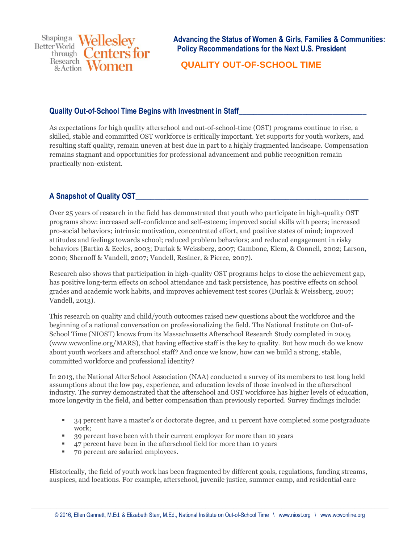**Shapinga Wellesley Better World** enters for through  $\bigcirc$ Research Research<br>& Action

**Advancing the Status of Women & Girls, Families & Communities: Policy Recommendations for the Next U.S. President**

 **QUALITY OUT-OF-SCHOOL TIME**

# **Quality Out-of-School Time Begins with Investment in Staff\_\_\_\_\_\_\_\_\_\_\_\_\_\_\_\_\_\_\_\_\_\_\_\_\_\_\_\_\_\_\_\_\_\_**

As expectations for high quality afterschool and out-of-school-time (OST) programs continue to rise, a skilled, stable and committed OST workforce is critically important. Yet supports for youth workers, and resulting staff quality, remain uneven at best due in part to a highly fragmented landscape. Compensation remains stagnant and opportunities for professional advancement and public recognition remain practically non-existent.

# **A Snapshot of Quality OST\_\_\_\_\_\_\_\_\_\_\_\_\_\_\_\_\_\_\_\_\_\_\_\_\_\_\_\_\_\_\_\_\_\_\_\_\_\_\_\_\_\_\_\_\_\_\_\_\_\_\_\_\_\_\_\_\_\_\_\_\_\_**

Over 25 years of research in the field has demonstrated that youth who participate in high-quality OST programs show: increased self-confidence and self-esteem; improved social skills with peers; increased pro-social behaviors; intrinsic motivation, concentrated effort, and positive states of mind; improved attitudes and feelings towards school; reduced problem behaviors; and reduced engagement in risky behaviors (Bartko & Eccles, 2003; Durlak & Weissberg, 2007; Gambone, Klem, & Connell, 2002; Larson, 2000; Shernoff & Vandell, 2007; Vandell, Resiner, & Pierce, 2007).

Research also shows that participation in high-quality OST programs helps to close the achievement gap, has positive long-term effects on school attendance and task persistence, has positive effects on school grades and academic work habits, and improves achievement test scores (Durlak & Weissberg, 2007; Vandell, 2013).

This research on quality and child/youth outcomes raised new questions about the workforce and the beginning of a national conversation on professionalizing the field. The National Institute on Out-of-School Time (NIOST) knows from its Massachusetts Afterschool Research Study completed in 2005 (www.wcwonline.org/MARS), that having effective staff is the key to quality. But how much do we know about youth workers and afterschool staff? And once we know, how can we build a strong, stable, committed workforce and professional identity?

In 2013, the National AfterSchool Association (NAA) conducted a [survey](http://naaweb.org/resources/item/100-new-research-shows-afterschool-workforce-more-stable-better-educated) of its members to test long held assumptions about the low pay, experience, and education levels of those involved in the afterschool industry. The survey demonstrated that the afterschool and OST workforce has higher levels of education, more longevity in the field, and better compensation than previously reported. Survey findings include:

- <sup>2</sup> 34 percent have a master's or doctorate degree, and 11 percent have completed some postgraduate work;
- <sup>39</sup> 39 percent have been with their current employer for more than 10 years
- 47 percent have been in the afterschool field for more than 10 years
- 70 percent are salaried employees.

Historically, the field of youth work has been fragmented by different goals, regulations, funding streams, auspices, and locations. For example, afterschool, juvenile justice, summer camp, and residential care